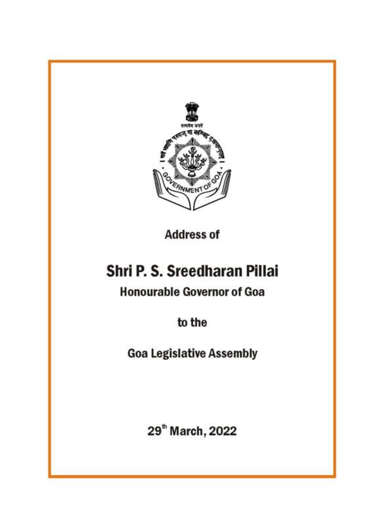

**Address of** 

# Shri P. S. Sreedharan Pillai

**Honourable Governor of Goa** 

to the

**Goa Legislative Assembly** 

29<sup>th</sup> March, 2022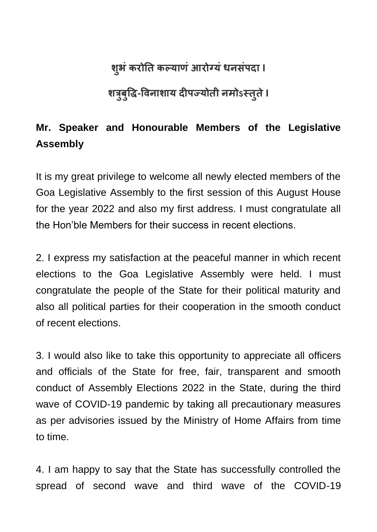## **श ु भंकरोति कल्याणंआरोग्यंधनसंऩदा I**

## **शत्रब ु ु द्धि-द्धिनाशाय दीऩज्योिी नमोऽस्िुिेI**

### **Mr. Speaker and Honourable Members of the Legislative Assembly**

It is my great privilege to welcome all newly elected members of the Goa Legislative Assembly to the first session of this August House for the year 2022 and also my first address. I must congratulate all the Hon"ble Members for their success in recent elections.

2. I express my satisfaction at the peaceful manner in which recent elections to the Goa Legislative Assembly were held. I must congratulate the people of the State for their political maturity and also all political parties for their cooperation in the smooth conduct of recent elections.

3. I would also like to take this opportunity to appreciate all officers and officials of the State for free, fair, transparent and smooth conduct of Assembly Elections 2022 in the State, during the third wave of COVID-19 pandemic by taking all precautionary measures as per advisories issued by the Ministry of Home Affairs from time to time.

4. I am happy to say that the State has successfully controlled the spread of second wave and third wave of the COVID-19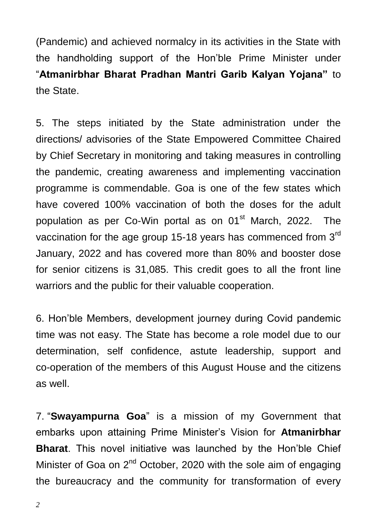(Pandemic) and achieved normalcy in its activities in the State with the handholding support of the Hon"ble Prime Minister under "**Atmanirbhar Bharat Pradhan Mantri Garib Kalyan Yojana"** to the State.

5. The steps initiated by the State administration under the directions/ advisories of the State Empowered Committee Chaired by Chief Secretary in monitoring and taking measures in controlling the pandemic, creating awareness and implementing vaccination programme is commendable. Goa is one of the few states which have covered 100% vaccination of both the doses for the adult population as per Co-Win portal as on 01<sup>st</sup> March, 2022. The vaccination for the age group 15-18 years has commenced from 3<sup>rd</sup> January, 2022 and has covered more than 80% and booster dose for senior citizens is 31,085. This credit goes to all the front line warriors and the public for their valuable cooperation.

6. Hon"ble Members, development journey during Covid pandemic time was not easy. The State has become a role model due to our determination, self confidence, astute leadership, support and co-operation of the members of this August House and the citizens as well.

7. "**Swayampurna Goa**" is a mission of my Government that embarks upon attaining Prime Minister"s Vision for **Atmanirbhar Bharat**. This novel initiative was launched by the Hon"ble Chief Minister of Goa on  $2^{nd}$  October, 2020 with the sole aim of engaging the bureaucracy and the community for transformation of every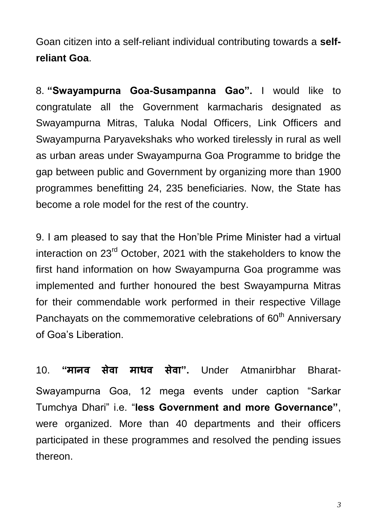Goan citizen into a self-reliant individual contributing towards a **selfreliant Goa**.

8. **"Swayampurna Goa-Susampanna Gao".** I would like to congratulate all the Government karmacharis designated as Swayampurna Mitras, Taluka Nodal Officers, Link Officers and Swayampurna Paryavekshaks who worked tirelessly in rural as well as urban areas under Swayampurna Goa Programme to bridge the gap between public and Government by organizing more than 1900 programmes benefitting 24, 235 beneficiaries. Now, the State has become a role model for the rest of the country.

9. I am pleased to say that the Hon"ble Prime Minister had a virtual interaction on 23<sup>rd</sup> October, 2021 with the stakeholders to know the first hand information on how Swayampurna Goa programme was implemented and further honoured the best Swayampurna Mitras for their commendable work performed in their respective Village Panchayats on the commemorative celebrations of 60<sup>th</sup> Anniversary of Goa"s Liberation.

10. **"मानि सेिा माधि सेिा".** Under Atmanirbhar Bharat-Swayampurna Goa, 12 mega events under caption "Sarkar Tumchya Dhari" i.e. "**less Government and more Governance"**, were organized. More than 40 departments and their officers participated in these programmes and resolved the pending issues thereon.

*3*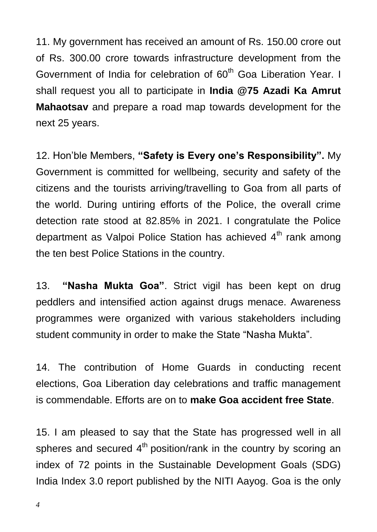11. My government has received an amount of Rs. 150.00 crore out of Rs. 300.00 crore towards infrastructure development from the Government of India for celebration of 60<sup>th</sup> Goa Liberation Year. I shall request you all to participate in **India @75 Azadi Ka Amrut Mahaotsav** and prepare a road map towards development for the next 25 years.

12. Hon"ble Members, **"Safety is Every one"s Responsibility".** My Government is committed for wellbeing, security and safety of the citizens and the tourists arriving/travelling to Goa from all parts of the world. During untiring efforts of the Police, the overall crime detection rate stood at 82.85% in 2021. I congratulate the Police department as Valpoi Police Station has achieved 4<sup>th</sup> rank among the ten best Police Stations in the country.

13. **"Nasha Mukta Goa"**. Strict vigil has been kept on drug peddlers and intensified action against drugs menace. Awareness programmes were organized with various stakeholders including student community in order to make the State "Nasha Mukta".

14. The contribution of Home Guards in conducting recent elections, Goa Liberation day celebrations and traffic management is commendable. Efforts are on to **make Goa accident free State**.

15. I am pleased to say that the State has progressed well in all spheres and secured  $4<sup>th</sup>$  position/rank in the country by scoring an index of 72 points in the Sustainable Development Goals (SDG) India Index 3.0 report published by the NITI Aayog. Goa is the only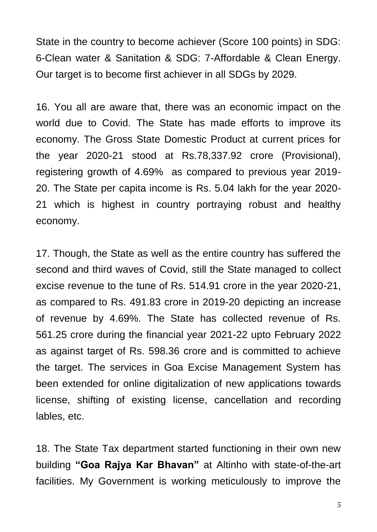State in the country to become achiever (Score 100 points) in SDG: 6-Clean water & Sanitation & SDG: 7-Affordable & Clean Energy. Our target is to become first achiever in all SDGs by 2029.

16. You all are aware that, there was an economic impact on the world due to Covid. The State has made efforts to improve its economy. The Gross State Domestic Product at current prices for the year 2020-21 stood at Rs.78,337.92 crore (Provisional), registering growth of 4.69% as compared to previous year 2019- 20. The State per capita income is Rs. 5.04 lakh for the year 2020- 21 which is highest in country portraying robust and healthy economy.

17. Though, the State as well as the entire country has suffered the second and third waves of Covid, still the State managed to collect excise revenue to the tune of Rs. 514.91 crore in the year 2020-21, as compared to Rs. 491.83 crore in 2019-20 depicting an increase of revenue by 4.69%. The State has collected revenue of Rs. 561.25 crore during the financial year 2021-22 upto February 2022 as against target of Rs. 598.36 crore and is committed to achieve the target. The services in Goa Excise Management System has been extended for online digitalization of new applications towards license, shifting of existing license, cancellation and recording lables, etc.

18. The State Tax department started functioning in their own new building **"Goa Rajya Kar Bhavan"** at Altinho with state-of-the-art facilities. My Government is working meticulously to improve the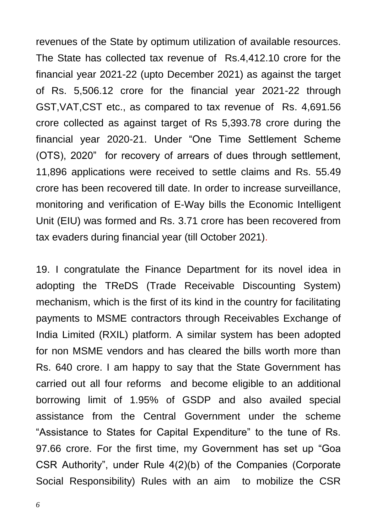revenues of the State by optimum utilization of available resources. The State has collected tax revenue of Rs.4,412.10 crore for the financial year 2021-22 (upto December 2021) as against the target of Rs. 5,506.12 crore for the financial year 2021-22 through GST,VAT,CST etc., as compared to tax revenue of Rs. 4,691.56 crore collected as against target of Rs 5,393.78 crore during the financial year 2020-21. Under "One Time Settlement Scheme (OTS), 2020" for recovery of arrears of dues through settlement, 11,896 applications were received to settle claims and Rs. 55.49 crore has been recovered till date. In order to increase surveillance, monitoring and verification of E-Way bills the Economic Intelligent Unit (EIU) was formed and Rs. 3.71 crore has been recovered from tax evaders during financial year (till October 2021).

19. I congratulate the Finance Department for its novel idea in adopting the TReDS (Trade Receivable Discounting System) mechanism, which is the first of its kind in the country for facilitating payments to MSME contractors through Receivables Exchange of India Limited (RXIL) platform. A similar system has been adopted for non MSME vendors and has cleared the bills worth more than Rs. 640 crore. I am happy to say that the State Government has carried out all four reforms and become eligible to an additional borrowing limit of 1.95% of GSDP and also availed special assistance from the Central Government under the scheme "Assistance to States for Capital Expenditure" to the tune of Rs. 97.66 crore. For the first time, my Government has set up "Goa CSR Authority", under Rule 4(2)(b) of the Companies (Corporate Social Responsibility) Rules with an aim to mobilize the CSR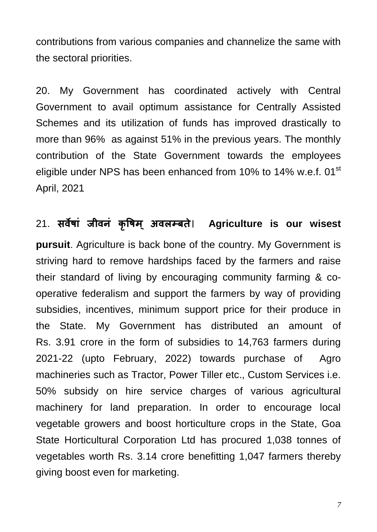contributions from various companies and channelize the same with the sectoral priorities.

20. My Government has coordinated actively with Central Government to avail optimum assistance for Centrally Assisted Schemes and its utilization of funds has improved drastically to more than 96% as against 51% in the previous years. The monthly contribution of the State Government towards the employees eligible under NPS has been enhanced from 10% to 14% w.e.f. 01<sup>st</sup> April, 2021

#### 21. **सिेषां जीिनं क ृ द्धषम ् अिऱम्बिे। Agriculture is our wisest**

**pursuit**. Agriculture is back bone of the country. My Government is striving hard to remove hardships faced by the farmers and raise their standard of living by encouraging community farming & cooperative federalism and support the farmers by way of providing subsidies, incentives, minimum support price for their produce in the State. My Government has distributed an amount of Rs. 3.91 crore in the form of subsidies to 14,763 farmers during 2021-22 (upto February, 2022) towards purchase of Agro machineries such as Tractor, Power Tiller etc., Custom Services i.e. 50% subsidy on hire service charges of various agricultural machinery for land preparation. In order to encourage local vegetable growers and boost horticulture crops in the State, Goa State Horticultural Corporation Ltd has procured 1,038 tonnes of vegetables worth Rs. 3.14 crore benefitting 1,047 farmers thereby giving boost even for marketing.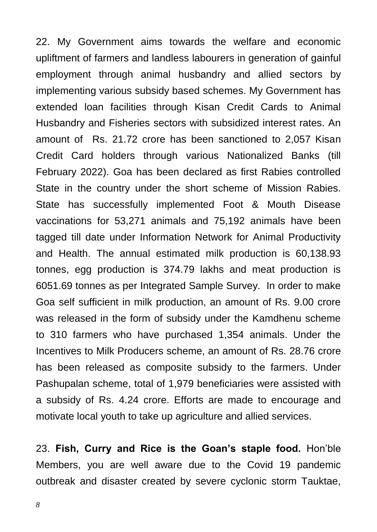22. My Government aims towards the welfare and economic upliftment of farmers and landless labourers in generation of gainful employment through animal husbandry and allied sectors by implementing various subsidy based schemes. My Government has extended loan facilities through Kisan Credit Cards to Animal Husbandry and Fisheries sectors with subsidized interest rates. An amount of Rs. 21.72 crore has been sanctioned to 2,057 Kisan Credit Card holders through various Nationalized Banks (till February 2022). Goa has been declared as first Rabies controlled State in the country under the short scheme of Mission Rabies. State has successfully implemented Foot & Mouth Disease vaccinations for 53,271 animals and 75,192 animals have been tagged till date under Information Network for Animal Productivity and Health. The annual estimated milk production is 60,138.93 tonnes, egg production is 374.79 lakhs and meat production is 6051.69 tonnes as per Integrated Sample Survey. In order to make Goa self sufficient in milk production, an amount of Rs. 9.00 crore was released in the form of subsidy under the Kamdhenu scheme to 310 farmers who have purchased 1,354 animals. Under the Incentives to Milk Producers scheme, an amount of Rs. 28.76 crore has been released as composite subsidy to the farmers. Under Pashupalan scheme, total of 1,979 beneficiaries were assisted with a subsidy of Rs. 4.24 crore. Efforts are made to encourage and motivate local youth to take up agriculture and allied services.

23. **Fish, Curry and Rice is the Goan"s staple food.** Hon"ble Members, you are well aware due to the Covid 19 pandemic outbreak and disaster created by severe cyclonic storm Tauktae,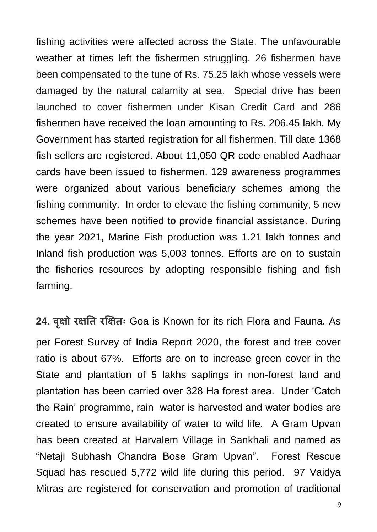fishing activities were affected across the State. The unfavourable weather at times left the fishermen struggling. 26 fishermen have been compensated to the tune of Rs. 75.25 lakh whose vessels were damaged by the natural calamity at sea. Special drive has been launched to cover fishermen under Kisan Credit Card and 286 fishermen have received the loan amounting to Rs. 206.45 lakh. My Government has started registration for all fishermen. Till date 1368 fish sellers are registered. About 11,050 QR code enabled Aadhaar cards have been issued to fishermen. 129 awareness programmes were organized about various beneficiary schemes among the fishing community. In order to elevate the fishing community, 5 new schemes have been notified to provide financial assistance. During the year 2021, Marine Fish production was 1.21 lakh tonnes and Inland fish production was 5,003 tonnes. Efforts are on to sustain the fisheries resources by adopting responsible fishing and fish farming.

**24. िऺृ ो रऺति रक्षऺिः** Goa is Known for its rich Flora and Fauna. As per Forest Survey of India Report 2020, the forest and tree cover ratio is about 67%. Efforts are on to increase green cover in the State and plantation of 5 lakhs saplings in non-forest land and plantation has been carried over 328 Ha forest area. Under "Catch the Rain" programme, rain water is harvested and water bodies are created to ensure availability of water to wild life. A Gram Upvan has been created at Harvalem Village in Sankhali and named as "Netaji Subhash Chandra Bose Gram Upvan". Forest Rescue Squad has rescued 5,772 wild life during this period. 97 Vaidya Mitras are registered for conservation and promotion of traditional

*9*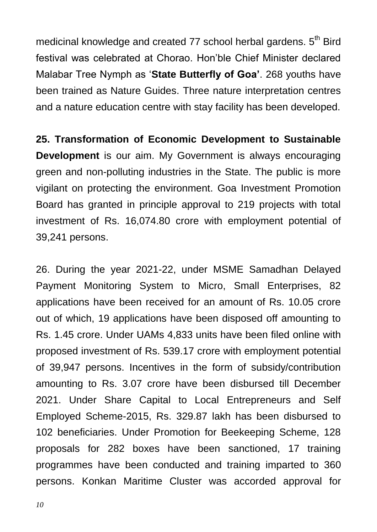medicinal knowledge and created 77 school herbal gardens. 5<sup>th</sup> Bird festival was celebrated at Chorao. Hon"ble Chief Minister declared Malabar Tree Nymph as "**State Butterfly of Goa"**. 268 youths have been trained as Nature Guides. Three nature interpretation centres and a nature education centre with stay facility has been developed.

**25. Transformation of Economic Development to Sustainable Development** is our aim. My Government is always encouraging green and non-polluting industries in the State. The public is more vigilant on protecting the environment. Goa Investment Promotion Board has granted in principle approval to 219 projects with total investment of Rs. 16,074.80 crore with employment potential of 39,241 persons.

26. During the year 2021-22, under MSME Samadhan Delayed Payment Monitoring System to Micro, Small Enterprises, 82 applications have been received for an amount of Rs. 10.05 crore out of which, 19 applications have been disposed off amounting to Rs. 1.45 crore. Under UAMs 4,833 units have been filed online with proposed investment of Rs. 539.17 crore with employment potential of 39,947 persons. Incentives in the form of subsidy/contribution amounting to Rs. 3.07 crore have been disbursed till December 2021. Under Share Capital to Local Entrepreneurs and Self Employed Scheme-2015, Rs. 329.87 lakh has been disbursed to 102 beneficiaries. Under Promotion for Beekeeping Scheme, 128 proposals for 282 boxes have been sanctioned, 17 training programmes have been conducted and training imparted to 360 persons. Konkan Maritime Cluster was accorded approval for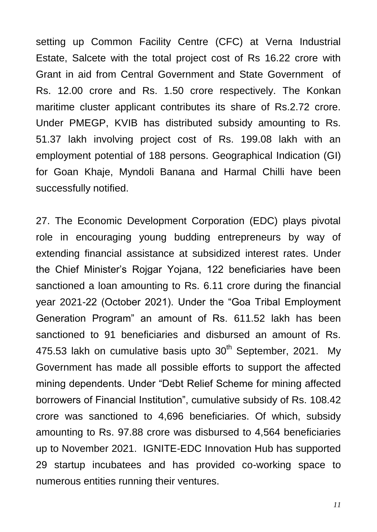setting up Common Facility Centre (CFC) at Verna Industrial Estate, Salcete with the total project cost of Rs 16.22 crore with Grant in aid from Central Government and State Government of Rs. 12.00 crore and Rs. 1.50 crore respectively. The Konkan maritime cluster applicant contributes its share of Rs.2.72 crore. Under PMEGP, KVIB has distributed subsidy amounting to Rs. 51.37 lakh involving project cost of Rs. 199.08 lakh with an employment potential of 188 persons. Geographical Indication (GI) for Goan Khaje, Myndoli Banana and Harmal Chilli have been successfully notified.

27. The Economic Development Corporation (EDC) plays pivotal role in encouraging young budding entrepreneurs by way of extending financial assistance at subsidized interest rates. Under the Chief Minister"s Rojgar Yojana, 122 beneficiaries have been sanctioned a loan amounting to Rs. 6.11 crore during the financial year 2021-22 (October 2021). Under the "Goa Tribal Employment Generation Program" an amount of Rs. 611.52 lakh has been sanctioned to 91 beneficiaries and disbursed an amount of Rs. 475.53 lakh on cumulative basis upto  $30<sup>th</sup>$  September, 2021. My Government has made all possible efforts to support the affected mining dependents. Under "Debt Relief Scheme for mining affected borrowers of Financial Institution", cumulative subsidy of Rs. 108.42 crore was sanctioned to 4,696 beneficiaries. Of which, subsidy amounting to Rs. 97.88 crore was disbursed to 4,564 beneficiaries up to November 2021. IGNITE-EDC Innovation Hub has supported 29 startup incubatees and has provided co-working space to numerous entities running their ventures.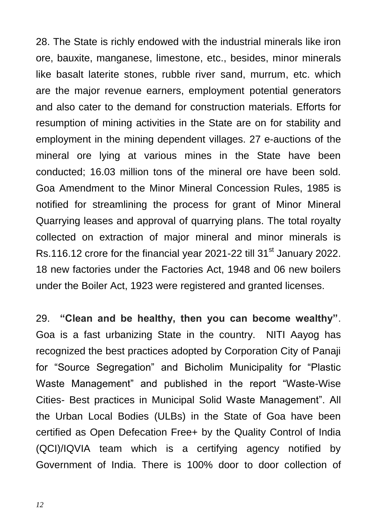28. The State is richly endowed with the industrial minerals like iron ore, bauxite, manganese, limestone, etc., besides, minor minerals like basalt laterite stones, rubble river sand, murrum, etc. which are the major revenue earners, employment potential generators and also cater to the demand for construction materials. Efforts for resumption of mining activities in the State are on for stability and employment in the mining dependent villages. 27 e-auctions of the mineral ore lying at various mines in the State have been conducted; 16.03 million tons of the mineral ore have been sold. Goa Amendment to the Minor Mineral Concession Rules, 1985 is notified for streamlining the process for grant of Minor Mineral Quarrying leases and approval of quarrying plans. The total royalty collected on extraction of major mineral and minor minerals is Rs.116.12 crore for the financial year 2021-22 till 31<sup>st</sup> January 2022. 18 new factories under the Factories Act, 1948 and 06 new boilers under the Boiler Act, 1923 were registered and granted licenses.

29. **"Clean and be healthy, then you can become wealthy"**. Goa is a fast urbanizing State in the country. NITI Aayog has recognized the best practices adopted by Corporation City of Panaji for "Source Segregation" and Bicholim Municipality for "Plastic Waste Management" and published in the report "Waste-Wise Cities- Best practices in Municipal Solid Waste Management". All the Urban Local Bodies (ULBs) in the State of Goa have been certified as Open Defecation Free+ by the Quality Control of India (QCI)/IQVIA team which is a certifying agency notified by Government of India. There is 100% door to door collection of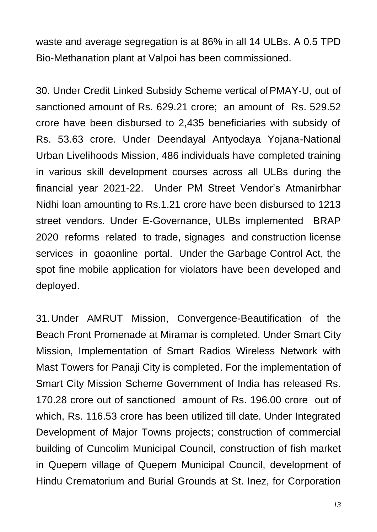waste and average segregation is at 86% in all 14 ULBs. A 0.5 TPD Bio-Methanation plant at Valpoi has been commissioned.

30. Under Credit Linked Subsidy Scheme vertical of PMAY-U, out of sanctioned amount of Rs. 629.21 crore; an amount of Rs. 529.52 crore have been disbursed to 2,435 beneficiaries with subsidy of Rs. 53.63 crore. Under Deendayal Antyodaya Yojana-National Urban Livelihoods Mission, 486 individuals have completed training in various skill development courses across all ULBs during the financial year 2021-22. Under PM Street Vendor"s Atmanirbhar Nidhi loan amounting to Rs.1.21 crore have been disbursed to 1213 street vendors. Under E-Governance, ULBs implemented BRAP 2020 reforms related to trade, signages and construction license services in goaonline portal. Under the Garbage Control Act, the spot fine mobile application for violators have been developed and deployed.

31.Under AMRUT Mission, Convergence-Beautification of the Beach Front Promenade at Miramar is completed. Under Smart City Mission, Implementation of Smart Radios Wireless Network with Mast Towers for Panaji City is completed. For the implementation of Smart City Mission Scheme Government of India has released Rs. 170.28 crore out of sanctioned amount of Rs. 196.00 crore out of which, Rs. 116.53 crore has been utilized till date. Under Integrated Development of Major Towns projects; construction of commercial building of Cuncolim Municipal Council, construction of fish market in Quepem village of Quepem Municipal Council, development of Hindu Crematorium and Burial Grounds at St. Inez, for Corporation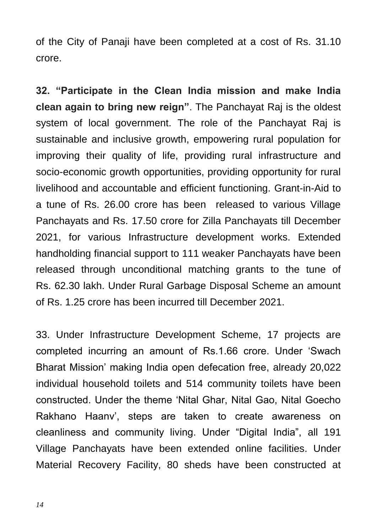of the City of Panaji have been completed at a cost of Rs. 31.10 crore.

**32. "Participate in the Clean India mission and make India clean again to bring new reign"**. The Panchayat Raj is the oldest system of local government. The role of the Panchayat Raj is sustainable and inclusive growth, empowering rural population for improving their quality of life, providing rural infrastructure and socio-economic growth opportunities, providing opportunity for rural livelihood and accountable and efficient functioning. Grant-in-Aid to a tune of Rs. 26.00 crore has been released to various Village Panchayats and Rs. 17.50 crore for Zilla Panchayats till December 2021, for various Infrastructure development works. Extended handholding financial support to 111 weaker Panchayats have been released through unconditional matching grants to the tune of Rs. 62.30 lakh. Under Rural Garbage Disposal Scheme an amount of Rs. 1.25 crore has been incurred till December 2021.

33. Under Infrastructure Development Scheme, 17 projects are completed incurring an amount of Rs.1.66 crore. Under "Swach Bharat Mission" making India open defecation free, already 20,022 individual household toilets and 514 community toilets have been constructed. Under the theme "Nital Ghar, Nital Gao, Nital Goecho Rakhano Haanv", steps are taken to create awareness on cleanliness and community living. Under "Digital India", all 191 Village Panchayats have been extended online facilities. Under Material Recovery Facility, 80 sheds have been constructed at

*14*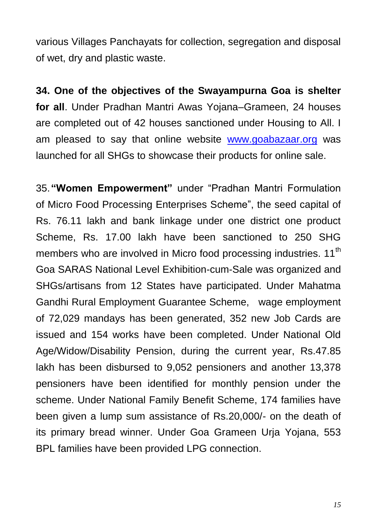various Villages Panchayats for collection, segregation and disposal of wet, dry and plastic waste.

**34. One of the objectives of the Swayampurna Goa is shelter for all**. Under Pradhan Mantri Awas Yojana–Grameen, 24 houses are completed out of 42 houses sanctioned under Housing to All. I am pleased to say that online website [www.goabazaar.org](http://www.goabazaar.org/) was launched for all SHGs to showcase their products for online sale.

35.**"Women Empowerment"** under "Pradhan Mantri Formulation of Micro Food Processing Enterprises Scheme", the seed capital of Rs. 76.11 lakh and bank linkage under one district one product Scheme, Rs. 17.00 lakh have been sanctioned to 250 SHG members who are involved in Micro food processing industries. 11<sup>th</sup> Goa SARAS National Level Exhibition-cum-Sale was organized and SHGs/artisans from 12 States have participated. Under Mahatma Gandhi Rural Employment Guarantee Scheme, wage employment of 72,029 mandays has been generated, 352 new Job Cards are issued and 154 works have been completed. Under National Old Age/Widow/Disability Pension, during the current year, Rs.47.85 lakh has been disbursed to 9,052 pensioners and another 13,378 pensioners have been identified for monthly pension under the scheme. Under National Family Benefit Scheme, 174 families have been given a lump sum assistance of Rs.20,000/- on the death of its primary bread winner. Under Goa Grameen Urja Yojana, 553 BPL families have been provided LPG connection.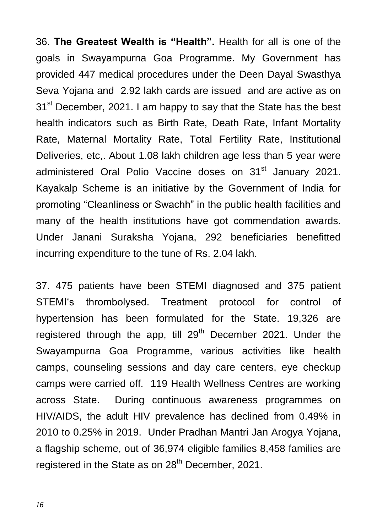36. **The Greatest Wealth is "Health".** Health for all is one of the goals in Swayampurna Goa Programme. My Government has provided 447 medical procedures under the Deen Dayal Swasthya Seva Yojana and 2.92 lakh cards are issued and are active as on 31<sup>st</sup> December, 2021. I am happy to say that the State has the best health indicators such as Birth Rate, Death Rate, Infant Mortality Rate, Maternal Mortality Rate, Total Fertility Rate, Institutional Deliveries, etc,. About 1.08 lakh children age less than 5 year were administered Oral Polio Vaccine doses on 31<sup>st</sup> January 2021. Kayakalp Scheme is an initiative by the Government of India for promoting "Cleanliness or Swachh" in the public health facilities and many of the health institutions have got commendation awards. Under Janani Suraksha Yojana, 292 beneficiaries benefitted incurring expenditure to the tune of Rs. 2.04 lakh.

37. 475 patients have been STEMI diagnosed and 375 patient STEMI"s thrombolysed. Treatment protocol for control of hypertension has been formulated for the State. 19,326 are registered through the app, till  $29<sup>th</sup>$  December 2021. Under the Swayampurna Goa Programme, various activities like health camps, counseling sessions and day care centers, eye checkup camps were carried off. 119 Health Wellness Centres are working across State. During continuous awareness programmes on HIV/AIDS, the adult HIV prevalence has declined from 0.49% in 2010 to 0.25% in 2019. Under Pradhan Mantri Jan Arogya Yojana, a flagship scheme, out of 36,974 eligible families 8,458 families are registered in the State as on  $28<sup>th</sup>$  December, 2021.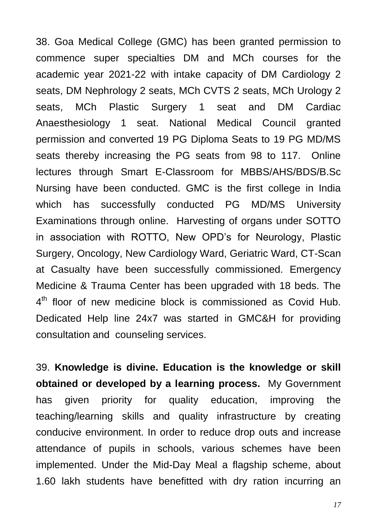38. Goa Medical College (GMC) has been granted permission to commence super specialties DM and MCh courses for the academic year 2021-22 with intake capacity of DM Cardiology 2 seats, DM Nephrology 2 seats, MCh CVTS 2 seats, MCh Urology 2 seats, MCh Plastic Surgery 1 seat and DM Cardiac Anaesthesiology 1 seat. National Medical Council granted permission and converted 19 PG Diploma Seats to 19 PG MD/MS seats thereby increasing the PG seats from 98 to 117. Online lectures through Smart E-Classroom for MBBS/AHS/BDS/B.Sc Nursing have been conducted. GMC is the first college in India which has successfully conducted PG MD/MS University Examinations through online. Harvesting of organs under SOTTO in association with ROTTO, New OPD"s for Neurology, Plastic Surgery, Oncology, New Cardiology Ward, Geriatric Ward, CT-Scan at Casualty have been successfully commissioned. Emergency Medicine & Trauma Center has been upgraded with 18 beds. The 4<sup>th</sup> floor of new medicine block is commissioned as Covid Hub. Dedicated Help line 24x7 was started in GMC&H for providing consultation and counseling services.

39. **Knowledge is divine. Education is the knowledge or skill obtained or developed by a learning process.** My Government has given priority for quality education, improving the teaching/learning skills and quality infrastructure by creating conducive environment. In order to reduce drop outs and increase attendance of pupils in schools, various schemes have been implemented. Under the Mid-Day Meal a flagship scheme, about 1.60 lakh students have benefitted with dry ration incurring an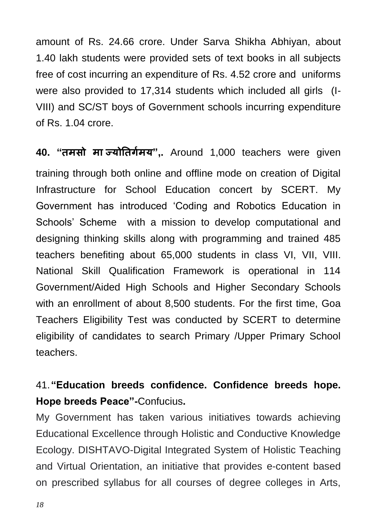amount of Rs. 24.66 crore. Under Sarva Shikha Abhiyan, about 1.40 lakh students were provided sets of text books in all subjects free of cost incurring an expenditure of Rs. 4.52 crore and uniforms were also provided to 17,314 students which included all girls (I-VIII) and SC/ST boys of Government schools incurring expenditure of Rs. 1.04 crore.

**40. "िमसो मा ज्योतिर्मग य" ,.** Around 1,000 teachers were given training through both online and offline mode on creation of Digital Infrastructure for School Education concert by SCERT. My Government has introduced "Coding and Robotics Education in Schools" Scheme with a mission to develop computational and designing thinking skills along with programming and trained 485 teachers benefiting about 65,000 students in class VI, VII, VIII. National Skill Qualification Framework is operational in 114 Government/Aided High Schools and Higher Secondary Schools with an enrollment of about 8,500 students. For the first time, Goa Teachers Eligibility Test was conducted by SCERT to determine eligibility of candidates to search Primary /Upper Primary School teachers.

#### 41.**"Education breeds confidence. Confidence breeds hope. Hope breeds Peace"-**Confucius**.**

My Government has taken various initiatives towards achieving Educational Excellence through Holistic and Conductive Knowledge Ecology. DISHTAVO-Digital Integrated System of Holistic Teaching and Virtual Orientation, an initiative that provides e-content based on prescribed syllabus for all courses of degree colleges in Arts,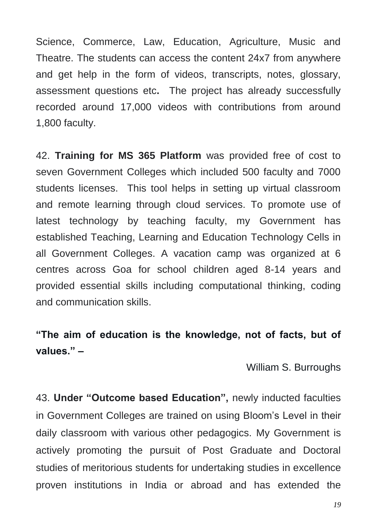Science, Commerce, Law, Education, Agriculture, Music and Theatre. The students can access the content 24x7 from anywhere and get help in the form of videos, transcripts, notes, glossary, assessment questions etc**.** The project has already successfully recorded around 17,000 videos with contributions from around 1,800 faculty.

42. **Training for MS 365 Platform** was provided free of cost to seven Government Colleges which included 500 faculty and 7000 students licenses. This tool helps in setting up virtual classroom and remote learning through cloud services. To promote use of latest technology by teaching faculty, my Government has established Teaching, Learning and Education Technology Cells in all Government Colleges. A vacation camp was organized at 6 centres across Goa for school children aged 8-14 years and provided essential skills including computational thinking, coding and communication skills.

#### **"The aim of education is the knowledge, not of facts, but of values." –**

William S. Burroughs

43. **Under "Outcome based Education",** newly inducted faculties in Government Colleges are trained on using Bloom"s Level in their daily classroom with various other pedagogics. My Government is actively promoting the pursuit of Post Graduate and Doctoral studies of meritorious students for undertaking studies in excellence proven institutions in India or abroad and has extended the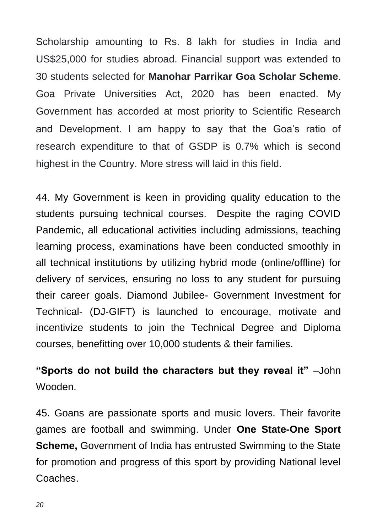Scholarship amounting to Rs. 8 lakh for studies in India and US\$25,000 for studies abroad. Financial support was extended to 30 students selected for **Manohar Parrikar Goa Scholar Scheme**. Goa Private Universities Act, 2020 has been enacted. My Government has accorded at most priority to Scientific Research and Development. I am happy to say that the Goa's ratio of research expenditure to that of GSDP is 0.7% which is second highest in the Country. More stress will laid in this field.

44. My Government is keen in providing quality education to the students pursuing technical courses. Despite the raging COVID Pandemic, all educational activities including admissions, teaching learning process, examinations have been conducted smoothly in all technical institutions by utilizing hybrid mode (online/offline) for delivery of services, ensuring no loss to any student for pursuing their career goals. Diamond Jubilee- Government Investment for Technical- (DJ-GIFT) is launched to encourage, motivate and incentivize students to join the Technical Degree and Diploma courses, benefitting over 10,000 students & their families.

**"Sports do not build the characters but they reveal it"** –John Wooden.

45. Goans are passionate sports and music lovers. Their favorite games are football and swimming. Under **One State-One Sport Scheme,** Government of India has entrusted Swimming to the State for promotion and progress of this sport by providing National level Coaches.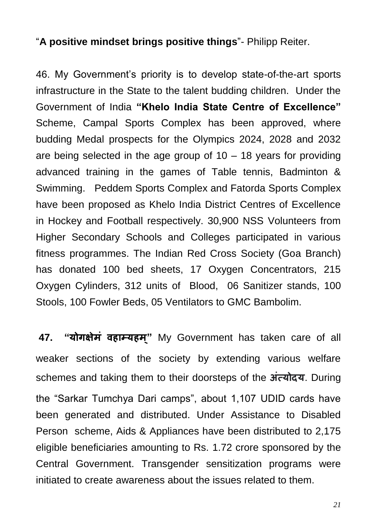#### "**A positive mindset brings positive things**"- Philipp Reiter.

46. My Government"s priority is to develop state-of-the-art sports infrastructure in the State to the talent budding children. Under the Government of India **"Khelo India State Centre of Excellence"**  Scheme, Campal Sports Complex has been approved, where budding Medal prospects for the Olympics 2024, 2028 and 2032 are being selected in the age group of  $10 - 18$  years for providing advanced training in the games of Table tennis, Badminton & Swimming. Peddem Sports Complex and Fatorda Sports Complex have been proposed as Khelo India District Centres of Excellence in Hockey and Football respectively. 30,900 NSS Volunteers from Higher Secondary Schools and Colleges participated in various fitness programmes. The Indian Red Cross Society (Goa Branch) has donated 100 bed sheets, 17 Oxygen Concentrators, 215 Oxygen Cylinders, 312 units of Blood, 06 Sanitizer stands, 100 Stools, 100 Fowler Beds, 05 Ventilators to GMC Bambolim.

**47. "योर्ऺेमं िहाम्यहम" ्** My Government has taken care of all weaker sections of the society by extending various welfare schemes and taking them to their doorsteps of the **अत्ं योदय**. During the "Sarkar Tumchya Dari camps", about 1,107 UDID cards have been generated and distributed. Under Assistance to Disabled Person scheme, Aids & Appliances have been distributed to 2,175 eligible beneficiaries amounting to Rs. 1.72 crore sponsored by the Central Government. Transgender sensitization programs were initiated to create awareness about the issues related to them.

*21*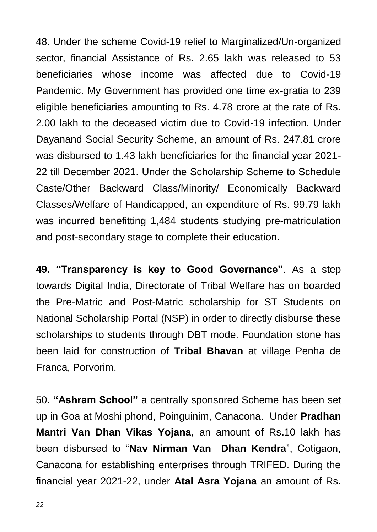48. Under the scheme Covid-19 relief to Marginalized/Un-organized sector, financial Assistance of Rs. 2.65 lakh was released to 53 beneficiaries whose income was affected due to Covid-19 Pandemic. My Government has provided one time ex-gratia to 239 eligible beneficiaries amounting to Rs. 4.78 crore at the rate of Rs. 2.00 lakh to the deceased victim due to Covid-19 infection. Under Dayanand Social Security Scheme, an amount of Rs. 247.81 crore was disbursed to 1.43 lakh beneficiaries for the financial year 2021- 22 till December 2021. Under the Scholarship Scheme to Schedule Caste/Other Backward Class/Minority/ Economically Backward Classes/Welfare of Handicapped, an expenditure of Rs. 99.79 lakh was incurred benefitting 1,484 students studying pre-matriculation and post-secondary stage to complete their education.

**49. "Transparency is key to Good Governance"**. As a step towards Digital India, Directorate of Tribal Welfare has on boarded the Pre-Matric and Post-Matric scholarship for ST Students on National Scholarship Portal (NSP) in order to directly disburse these scholarships to students through DBT mode. Foundation stone has been laid for construction of **Tribal Bhavan** at village Penha de Franca, Porvorim.

50. **"Ashram School"** a centrally sponsored Scheme has been set up in Goa at Moshi phond, Poinguinim, Canacona. Under **Pradhan Mantri Van Dhan Vikas Yojana**, an amount of Rs**.**10 lakh has been disbursed to "**Nav Nirman Van Dhan Kendra**", Cotigaon, Canacona for establishing enterprises through TRIFED. During the financial year 2021-22, under **Atal Asra Yojana** an amount of Rs.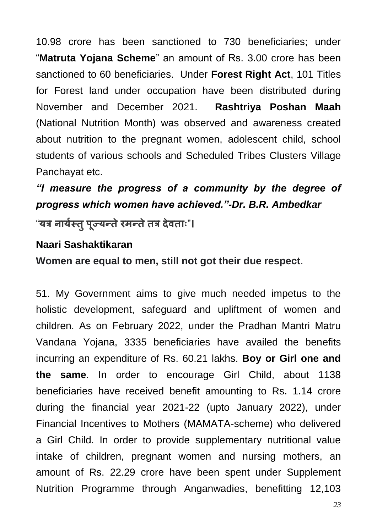10.98 crore has been sanctioned to 730 beneficiaries; under "**Matruta Yojana Scheme**" an amount of Rs. 3.00 crore has been sanctioned to 60 beneficiaries. Under **Forest Right Act**, 101 Titles for Forest land under occupation have been distributed during November and December 2021. **Rashtriya Poshan Maah** (National Nutrition Month) was observed and awareness created about nutrition to the pregnant women, adolescent child, school students of various schools and Scheduled Tribes Clusters Village Panchayat etc.

### *"I measure the progress of a community by the degree of progress which women have achieved."-Dr. B.R. Ambedkar*

"**यत्र नायस्ग िु ऩ ू ज्यन्िेरमन्िेित्र देििाः**"**।**

#### **Naari Sashaktikaran**

**Women are equal to men, still not got their due respect**.

51. My Government aims to give much needed impetus to the holistic development, safeguard and upliftment of women and children. As on February 2022, under the Pradhan Mantri Matru Vandana Yojana, 3335 beneficiaries have availed the benefits incurring an expenditure of Rs. 60.21 lakhs. **Boy or Girl one and the same**. In order to encourage Girl Child, about 1138 beneficiaries have received benefit amounting to Rs. 1.14 crore during the financial year 2021-22 (upto January 2022), under Financial Incentives to Mothers (MAMATA-scheme) who delivered a Girl Child. In order to provide supplementary nutritional value intake of children, pregnant women and nursing mothers, an amount of Rs. 22.29 crore have been spent under Supplement Nutrition Programme through Anganwadies, benefitting 12,103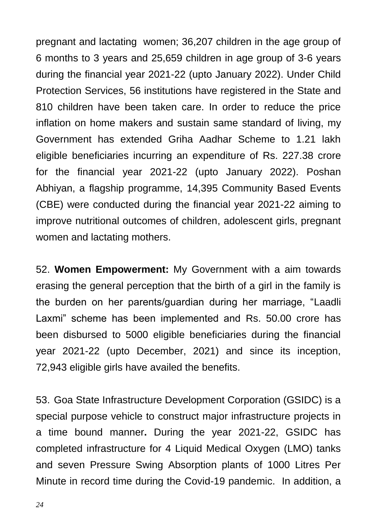pregnant and lactating women; 36,207 children in the age group of 6 months to 3 years and 25,659 children in age group of 3-6 years during the financial year 2021-22 (upto January 2022). Under Child Protection Services, 56 institutions have registered in the State and 810 children have been taken care. In order to reduce the price inflation on home makers and sustain same standard of living, my Government has extended Griha Aadhar Scheme to 1.21 lakh eligible beneficiaries incurring an expenditure of Rs. 227.38 crore for the financial year 2021-22 (upto January 2022). Poshan Abhiyan, a flagship programme, 14,395 Community Based Events (CBE) were conducted during the financial year 2021-22 aiming to improve nutritional outcomes of children, adolescent girls, pregnant women and lactating mothers.

52. **Women Empowerment:** My Government with a aim towards erasing the general perception that the birth of a girl in the family is the burden on her parents/guardian during her marriage, "Laadli Laxmi" scheme has been implemented and Rs. 50.00 crore has been disbursed to 5000 eligible beneficiaries during the financial year 2021-22 (upto December, 2021) and since its inception, 72,943 eligible girls have availed the benefits.

53. Goa State Infrastructure Development Corporation (GSIDC) is a special purpose vehicle to construct major infrastructure projects in a time bound manner**.** During the year 2021-22, GSIDC has completed infrastructure for 4 Liquid Medical Oxygen (LMO) tanks and seven Pressure Swing Absorption plants of 1000 Litres Per Minute in record time during the Covid-19 pandemic. In addition, a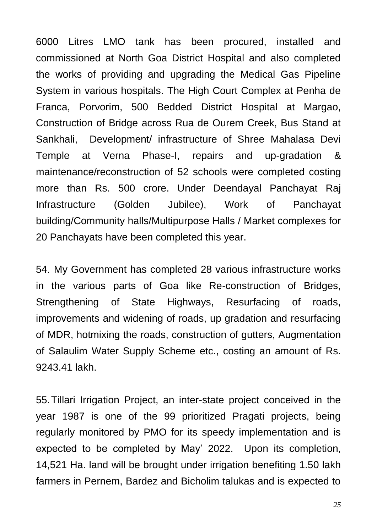6000 Litres LMO tank has been procured, installed and commissioned at North Goa District Hospital and also completed the works of providing and upgrading the Medical Gas Pipeline System in various hospitals. The High Court Complex at Penha de Franca, Porvorim, 500 Bedded District Hospital at Margao, Construction of Bridge across Rua de Ourem Creek, Bus Stand at Sankhali, Development/ infrastructure of Shree Mahalasa Devi Temple at Verna Phase-I, repairs and up-gradation & maintenance/reconstruction of 52 schools were completed costing more than Rs. 500 crore. Under Deendayal Panchayat Raj Infrastructure (Golden Jubilee), Work of Panchayat building/Community halls/Multipurpose Halls / Market complexes for 20 Panchayats have been completed this year.

54. My Government has completed 28 various infrastructure works in the various parts of Goa like Re-construction of Bridges, Strengthening of State Highways, Resurfacing of roads, improvements and widening of roads, up gradation and resurfacing of MDR, hotmixing the roads, construction of gutters, Augmentation of Salaulim Water Supply Scheme etc., costing an amount of Rs. 9243.41 lakh.

55.Tillari Irrigation Project, an inter-state project conceived in the year 1987 is one of the 99 prioritized Pragati projects, being regularly monitored by PMO for its speedy implementation and is expected to be completed by May" 2022. Upon its completion, 14,521 Ha. land will be brought under irrigation benefiting 1.50 lakh farmers in Pernem, Bardez and Bicholim talukas and is expected to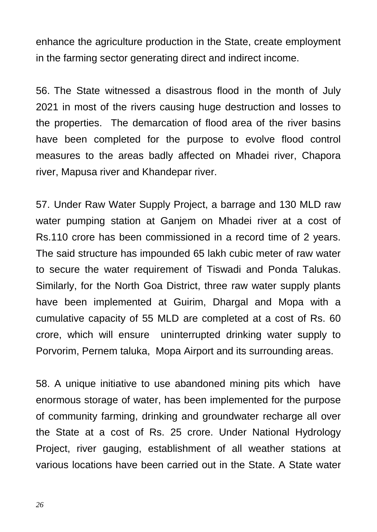enhance the agriculture production in the State, create employment in the farming sector generating direct and indirect income.

56. The State witnessed a disastrous flood in the month of July 2021 in most of the rivers causing huge destruction and losses to the properties. The demarcation of flood area of the river basins have been completed for the purpose to evolve flood control measures to the areas badly affected on Mhadei river, Chapora river, Mapusa river and Khandepar river.

57. Under Raw Water Supply Project, a barrage and 130 MLD raw water pumping station at Ganjem on Mhadei river at a cost of Rs.110 crore has been commissioned in a record time of 2 years. The said structure has impounded 65 lakh cubic meter of raw water to secure the water requirement of Tiswadi and Ponda Talukas. Similarly, for the North Goa District, three raw water supply plants have been implemented at Guirim, Dhargal and Mopa with a cumulative capacity of 55 MLD are completed at a cost of Rs. 60 crore, which will ensure uninterrupted drinking water supply to Porvorim, Pernem taluka, Mopa Airport and its surrounding areas.

58. A unique initiative to use abandoned mining pits which have enormous storage of water, has been implemented for the purpose of community farming, drinking and groundwater recharge all over the State at a cost of Rs. 25 crore. Under National Hydrology Project, river gauging, establishment of all weather stations at various locations have been carried out in the State. A State water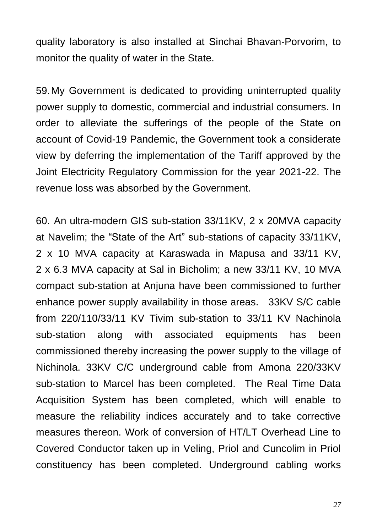quality laboratory is also installed at Sinchai Bhavan-Porvorim, to monitor the quality of water in the State.

59.My Government is dedicated to providing uninterrupted quality power supply to domestic, commercial and industrial consumers. In order to alleviate the sufferings of the people of the State on account of Covid-19 Pandemic, the Government took a considerate view by deferring the implementation of the Tariff approved by the Joint Electricity Regulatory Commission for the year 2021-22. The revenue loss was absorbed by the Government.

60. An ultra-modern GIS sub-station 33/11KV, 2 x 20MVA capacity at Navelim; the "State of the Art" sub-stations of capacity 33/11KV, 2 x 10 MVA capacity at Karaswada in Mapusa and 33/11 KV, 2 x 6.3 MVA capacity at Sal in Bicholim; a new 33/11 KV, 10 MVA compact sub-station at Anjuna have been commissioned to further enhance power supply availability in those areas. 33KV S/C cable from 220/110/33/11 KV Tivim sub-station to 33/11 KV Nachinola sub-station along with associated equipments has been commissioned thereby increasing the power supply to the village of Nichinola. 33KV C/C underground cable from Amona 220/33KV sub-station to Marcel has been completed. The Real Time Data Acquisition System has been completed, which will enable to measure the reliability indices accurately and to take corrective measures thereon. Work of conversion of HT/LT Overhead Line to Covered Conductor taken up in Veling, Priol and Cuncolim in Priol constituency has been completed. Underground cabling works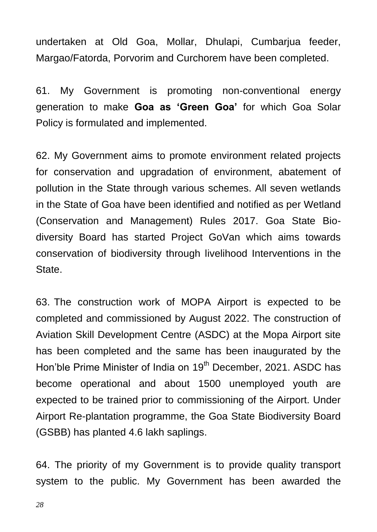undertaken at Old Goa, Mollar, Dhulapi, Cumbarjua feeder, Margao/Fatorda, Porvorim and Curchorem have been completed.

61. My Government is promoting non-conventional energy generation to make **Goa as "Green Goa"** for which Goa Solar Policy is formulated and implemented.

62. My Government aims to promote environment related projects for conservation and upgradation of environment, abatement of pollution in the State through various schemes. All seven wetlands in the State of Goa have been identified and notified as per Wetland (Conservation and Management) Rules 2017. Goa State Biodiversity Board has started Project GoVan which aims towards conservation of biodiversity through livelihood Interventions in the State.

63. The construction work of MOPA Airport is expected to be completed and commissioned by August 2022. The construction of Aviation Skill Development Centre (ASDC) at the Mopa Airport site has been completed and the same has been inaugurated by the Hon'ble Prime Minister of India on 19<sup>th</sup> December, 2021. ASDC has become operational and about 1500 unemployed youth are expected to be trained prior to commissioning of the Airport. Under Airport Re-plantation programme, the Goa State Biodiversity Board (GSBB) has planted 4.6 lakh saplings.

64. The priority of my Government is to provide quality transport system to the public. My Government has been awarded the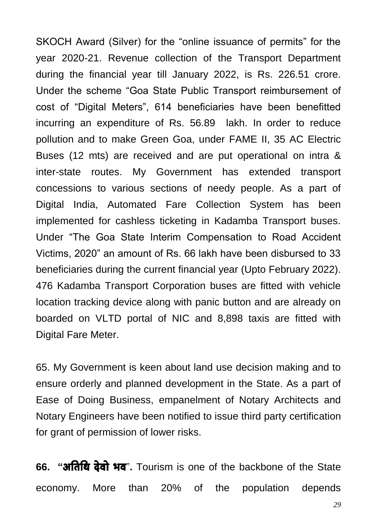SKOCH Award (Silver) for the "online issuance of permits" for the year 2020-21. Revenue collection of the Transport Department during the financial year till January 2022, is Rs. 226.51 crore. Under the scheme "Goa State Public Transport reimbursement of cost of "Digital Meters", 614 beneficiaries have been benefitted incurring an expenditure of Rs. 56.89 lakh. In order to reduce pollution and to make Green Goa, under FAME II, 35 AC Electric Buses (12 mts) are received and are put operational on intra & inter-state routes. My Government has extended transport concessions to various sections of needy people. As a part of Digital India, Automated Fare Collection System has been implemented for cashless ticketing in Kadamba Transport buses. Under "The Goa State Interim Compensation to Road Accident Victims, 2020" an amount of Rs. 66 lakh have been disbursed to 33 beneficiaries during the current financial year (Upto February 2022). 476 Kadamba Transport Corporation buses are fitted with vehicle location tracking device along with panic button and are already on boarded on VLTD portal of NIC and 8,898 taxis are fitted with Digital Fare Meter.

65. My Government is keen about land use decision making and to ensure orderly and planned development in the State. As a part of Ease of Doing Business, empanelment of Notary Architects and Notary Engineers have been notified to issue third party certification for grant of permission of lower risks.

**66. "अतिथि देवो भव**". Tourism is one of the backbone of the State economy. More than 20% of the population depends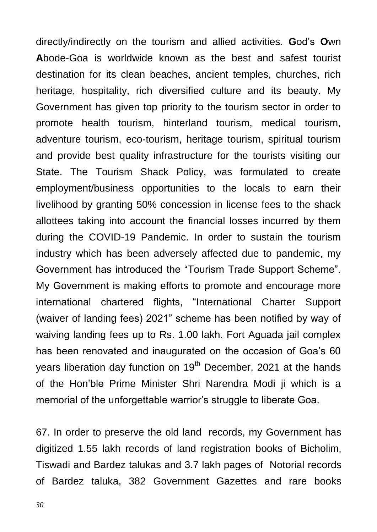directly/indirectly on the tourism and allied activities. **G**od"s **O**wn **A**bode-Goa is worldwide known as the best and safest tourist destination for its clean beaches, ancient temples, churches, rich heritage, hospitality, rich diversified culture and its beauty. My Government has given top priority to the tourism sector in order to promote health tourism, hinterland tourism, medical tourism, adventure tourism, eco-tourism, heritage tourism, spiritual tourism and provide best quality infrastructure for the tourists visiting our State. The Tourism Shack Policy, was formulated to create employment/business opportunities to the locals to earn their livelihood by granting 50% concession in license fees to the shack allottees taking into account the financial losses incurred by them during the COVID-19 Pandemic. In order to sustain the tourism industry which has been adversely affected due to pandemic, my Government has introduced the "Tourism Trade Support Scheme". My Government is making efforts to promote and encourage more international chartered flights, "International Charter Support (waiver of landing fees) 2021" scheme has been notified by way of waiving landing fees up to Rs. 1.00 lakh. Fort Aguada jail complex has been renovated and inaugurated on the occasion of Goa's 60 years liberation day function on 19<sup>th</sup> December, 2021 at the hands of the Hon"ble Prime Minister Shri Narendra Modi ji which is a memorial of the unforgettable warrior's struggle to liberate Goa.

67. In order to preserve the old land records, my Government has digitized 1.55 lakh records of land registration books of Bicholim, Tiswadi and Bardez talukas and 3.7 lakh pages of Notorial records of Bardez taluka, 382 Government Gazettes and rare books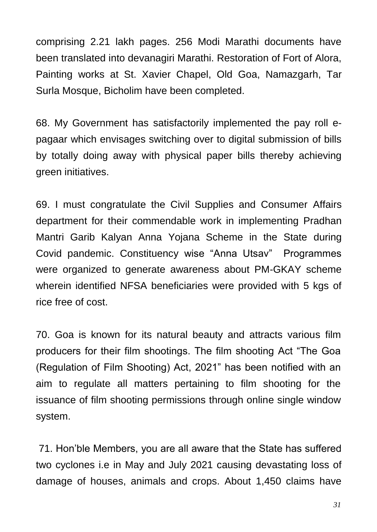comprising 2.21 lakh pages. 256 Modi Marathi documents have been translated into devanagiri Marathi. Restoration of Fort of Alora, Painting works at St. Xavier Chapel, Old Goa, Namazgarh, Tar Surla Mosque, Bicholim have been completed.

68. My Government has satisfactorily implemented the pay roll epagaar which envisages switching over to digital submission of bills by totally doing away with physical paper bills thereby achieving green initiatives.

69. I must congratulate the Civil Supplies and Consumer Affairs department for their commendable work in implementing Pradhan Mantri Garib Kalyan Anna Yojana Scheme in the State during Covid pandemic. Constituency wise "Anna Utsav" Programmes were organized to generate awareness about PM-GKAY scheme wherein identified NFSA beneficiaries were provided with 5 kgs of rice free of cost.

70. Goa is known for its natural beauty and attracts various film producers for their film shootings. The film shooting Act "The Goa (Regulation of Film Shooting) Act, 2021" has been notified with an aim to regulate all matters pertaining to film shooting for the issuance of film shooting permissions through online single window system.

71. Hon"ble Members, you are all aware that the State has suffered two cyclones i.e in May and July 2021 causing devastating loss of damage of houses, animals and crops. About 1,450 claims have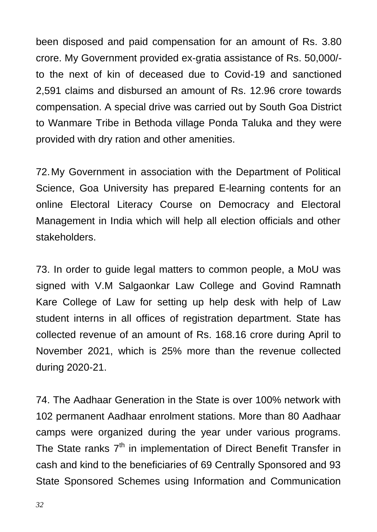been disposed and paid compensation for an amount of Rs. 3.80 crore. My Government provided ex-gratia assistance of Rs. 50,000/ to the next of kin of deceased due to Covid-19 and sanctioned 2,591 claims and disbursed an amount of Rs. 12.96 crore towards compensation. A special drive was carried out by South Goa District to Wanmare Tribe in Bethoda village Ponda Taluka and they were provided with dry ration and other amenities.

72.My Government in association with the Department of Political Science, Goa University has prepared E-learning contents for an online Electoral Literacy Course on Democracy and Electoral Management in India which will help all election officials and other stakeholders.

73. In order to guide legal matters to common people, a MoU was signed with V.M Salgaonkar Law College and Govind Ramnath Kare College of Law for setting up help desk with help of Law student interns in all offices of registration department. State has collected revenue of an amount of Rs. 168.16 crore during April to November 2021, which is 25% more than the revenue collected during 2020-21.

74. The Aadhaar Generation in the State is over 100% network with 102 permanent Aadhaar enrolment stations. More than 80 Aadhaar camps were organized during the year under various programs. The State ranks  $7<sup>th</sup>$  in implementation of Direct Benefit Transfer in cash and kind to the beneficiaries of 69 Centrally Sponsored and 93 State Sponsored Schemes using Information and Communication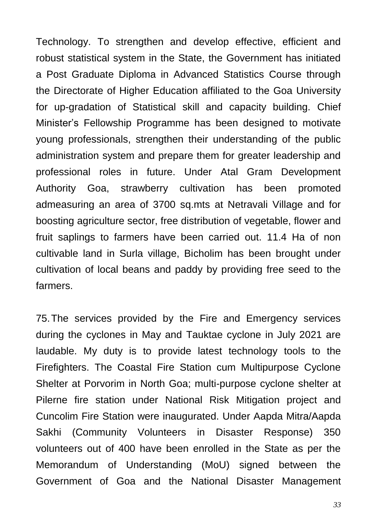Technology. To strengthen and develop effective, efficient and robust statistical system in the State, the Government has initiated a Post Graduate Diploma in Advanced Statistics Course through the Directorate of Higher Education affiliated to the Goa University for up-gradation of Statistical skill and capacity building. Chief Minister"s Fellowship Programme has been designed to motivate young professionals, strengthen their understanding of the public administration system and prepare them for greater leadership and professional roles in future. Under Atal Gram Development Authority Goa, strawberry cultivation has been promoted admeasuring an area of 3700 sq.mts at Netravali Village and for boosting agriculture sector, free distribution of vegetable, flower and fruit saplings to farmers have been carried out. 11.4 Ha of non cultivable land in Surla village, Bicholim has been brought under cultivation of local beans and paddy by providing free seed to the farmers.

75.The services provided by the Fire and Emergency services during the cyclones in May and Tauktae cyclone in July 2021 are laudable. My duty is to provide latest technology tools to the Firefighters. The Coastal Fire Station cum Multipurpose Cyclone Shelter at Porvorim in North Goa; multi-purpose cyclone shelter at Pilerne fire station under National Risk Mitigation project and Cuncolim Fire Station were inaugurated. Under Aapda Mitra/Aapda Sakhi (Community Volunteers in Disaster Response) 350 volunteers out of 400 have been enrolled in the State as per the Memorandum of Understanding (MoU) signed between the Government of Goa and the National Disaster Management